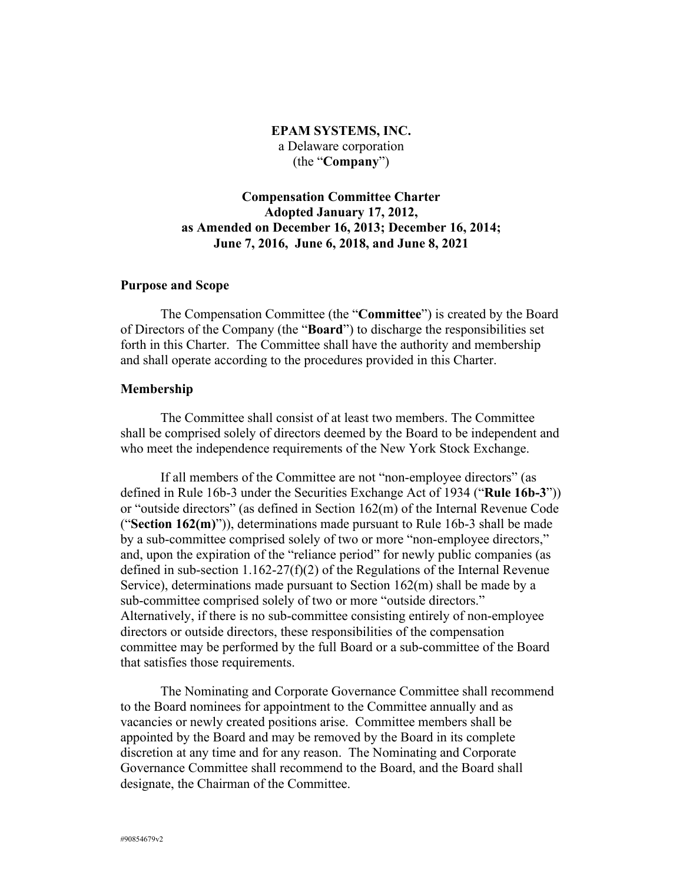# **EPAM SYSTEMS, INC.** a Delaware corporation (the "**Company**")

# **Compensation Committee Charter Adopted January 17, 2012, as Amended on December 16, 2013; December 16, 2014; June 7, 2016, June 6, 2018, and June 8, 2021**

#### **Purpose and Scope**

The Compensation Committee (the "**Committee**") is created by the Board of Directors of the Company (the "**Board**") to discharge the responsibilities set forth in this Charter. The Committee shall have the authority and membership and shall operate according to the procedures provided in this Charter.

#### **Membership**

The Committee shall consist of at least two members. The Committee shall be comprised solely of directors deemed by the Board to be independent and who meet the independence requirements of the New York Stock Exchange.

If all members of the Committee are not "non-employee directors" (as defined in Rule 16b-3 under the Securities Exchange Act of 1934 ("**Rule 16b-3**")) or "outside directors" (as defined in Section 162(m) of the Internal Revenue Code ("**Section 162(m)**")), determinations made pursuant to Rule 16b-3 shall be made by a sub-committee comprised solely of two or more "non-employee directors," and, upon the expiration of the "reliance period" for newly public companies (as defined in sub-section 1.162-27(f)(2) of the Regulations of the Internal Revenue Service), determinations made pursuant to Section 162(m) shall be made by a sub-committee comprised solely of two or more "outside directors." Alternatively, if there is no sub-committee consisting entirely of non-employee directors or outside directors, these responsibilities of the compensation committee may be performed by the full Board or a sub-committee of the Board that satisfies those requirements.

The Nominating and Corporate Governance Committee shall recommend to the Board nominees for appointment to the Committee annually and as vacancies or newly created positions arise. Committee members shall be appointed by the Board and may be removed by the Board in its complete discretion at any time and for any reason. The Nominating and Corporate Governance Committee shall recommend to the Board, and the Board shall designate, the Chairman of the Committee.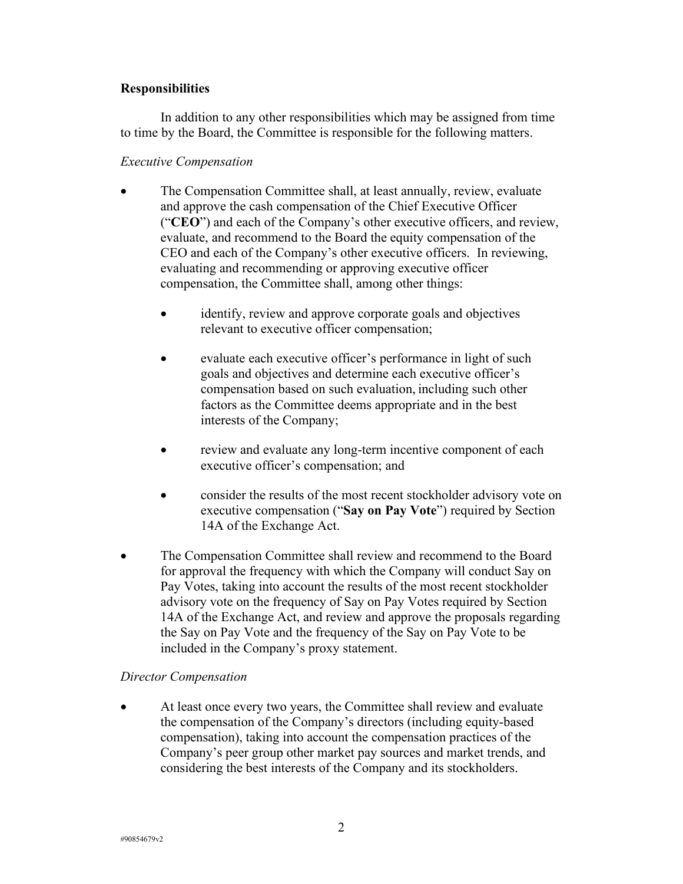## **Responsibilities**

In addition to any other responsibilities which may be assigned from time to time by the Board, the Committee is responsible for the following matters.

## *Executive Compensation*

- The Compensation Committee shall, at least annually, review, evaluate and approve the cash compensation of the Chief Executive Officer ("**CEO**") and each of the Company's other executive officers, and review, evaluate, and recommend to the Board the equity compensation of the CEO and each of the Company's other executive officers. In reviewing, evaluating and recommending or approving executive officer compensation, the Committee shall, among other things:
	- identify, review and approve corporate goals and objectives relevant to executive officer compensation;
	- evaluate each executive officer's performance in light of such goals and objectives and determine each executive officer's compensation based on such evaluation, including such other factors as the Committee deems appropriate and in the best interests of the Company;
	- review and evaluate any long-term incentive component of each executive officer's compensation; and
	- consider the results of the most recent stockholder advisory vote on executive compensation ("**Say on Pay Vote**") required by Section 14A of the Exchange Act.
- The Compensation Committee shall review and recommend to the Board for approval the frequency with which the Company will conduct Say on Pay Votes, taking into account the results of the most recent stockholder advisory vote on the frequency of Say on Pay Votes required by Section 14A of the Exchange Act, and review and approve the proposals regarding the Say on Pay Vote and the frequency of the Say on Pay Vote to be included in the Company's proxy statement.

# *Director Compensation*

• At least once every two years, the Committee shall review and evaluate the compensation of the Company's directors (including equity-based compensation), taking into account the compensation practices of the Company's peer group other market pay sources and market trends, and considering the best interests of the Company and its stockholders.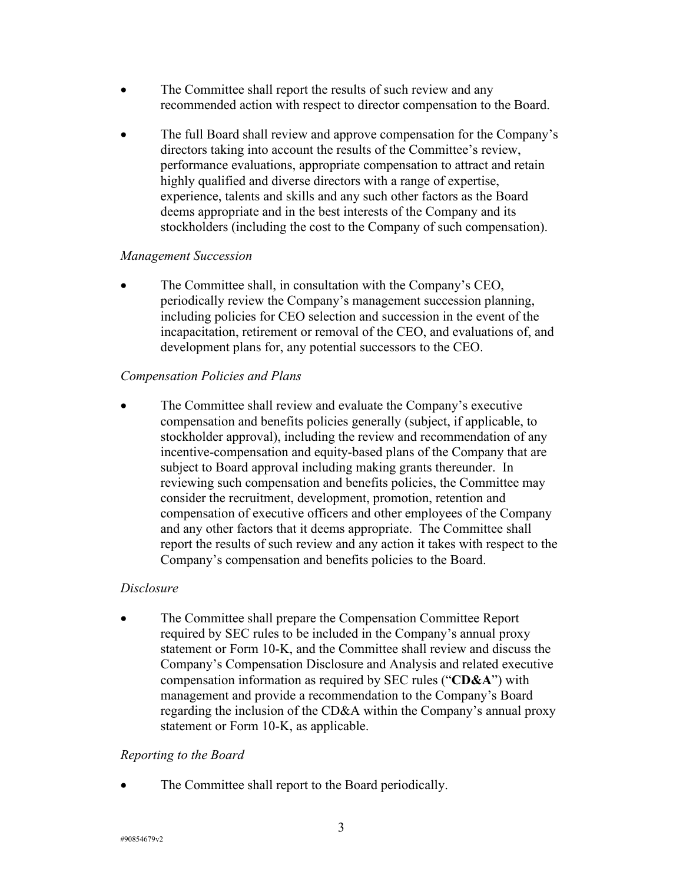- The Committee shall report the results of such review and any recommended action with respect to director compensation to the Board.
- The full Board shall review and approve compensation for the Company's directors taking into account the results of the Committee's review, performance evaluations, appropriate compensation to attract and retain highly qualified and diverse directors with a range of expertise, experience, talents and skills and any such other factors as the Board deems appropriate and in the best interests of the Company and its stockholders (including the cost to the Company of such compensation).

### *Management Succession*

• The Committee shall, in consultation with the Company's CEO, periodically review the Company's management succession planning, including policies for CEO selection and succession in the event of the incapacitation, retirement or removal of the CEO, and evaluations of, and development plans for, any potential successors to the CEO.

# *Compensation Policies and Plans*

The Committee shall review and evaluate the Company's executive compensation and benefits policies generally (subject, if applicable, to stockholder approval), including the review and recommendation of any incentive-compensation and equity-based plans of the Company that are subject to Board approval including making grants thereunder. In reviewing such compensation and benefits policies, the Committee may consider the recruitment, development, promotion, retention and compensation of executive officers and other employees of the Company and any other factors that it deems appropriate. The Committee shall report the results of such review and any action it takes with respect to the Company's compensation and benefits policies to the Board.

# *Disclosure*

• The Committee shall prepare the Compensation Committee Report required by SEC rules to be included in the Company's annual proxy statement or Form 10-K, and the Committee shall review and discuss the Company's Compensation Disclosure and Analysis and related executive compensation information as required by SEC rules ("**CD&A**") with management and provide a recommendation to the Company's Board regarding the inclusion of the CD&A within the Company's annual proxy statement or Form 10-K, as applicable.

# *Reporting to the Board*

The Committee shall report to the Board periodically.